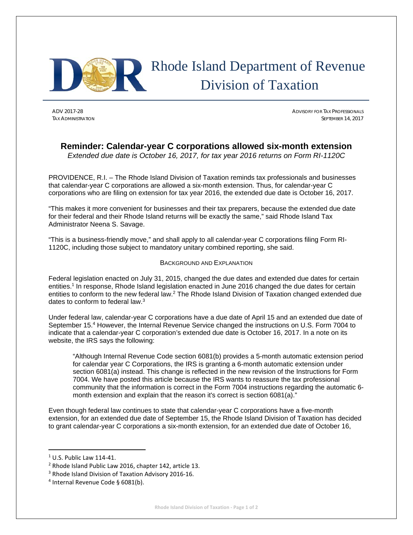

## Rhode Island Department of Revenue Division of Taxation

ADV 2017-28 ADVISORY FOR TAX PROFESSIONALS TAX ADMINISTRATION SEPTEMBER 14, 2017

## **Reminder: Calendar-year C corporations allowed six-month extension**

*Extended due date is October 16, 2017, for tax year 2016 returns on Form RI-1120C*

PROVIDENCE, R.I. – The Rhode Island Division of Taxation reminds tax professionals and businesses that calendar-year C corporations are allowed a six-month extension. Thus, for calendar-year C corporations who are filing on extension for tax year 2016, the extended due date is October 16, 2017.

"This makes it more convenient for businesses and their tax preparers, because the extended due date for their federal and their Rhode Island returns will be exactly the same," said Rhode Island Tax Administrator Neena S. Savage.

"This is a business-friendly move," and shall apply to all calendar-year C corporations filing Form RI-1120C, including those subject to mandatory unitary combined reporting, she said.

## BACKGROUND AND EXPLANATION

Federal legislation enacted on July 31, 2015, changed the due dates and extended due dates for certain entities.<sup>1</sup> In response, Rhode Island legislation enacted in June 2016 changed the due dates for certain entities to conform to the new federal law.2 The Rhode Island Division of Taxation changed extended due dates to conform to federal law.3

Under federal law, calendar-year C corporations have a due date of April 15 and an extended due date of September 15.4 However, the Internal Revenue Service changed the instructions on U.S. Form 7004 to indicate that a calendar-year C corporation's extended due date is October 16, 2017. In a note on its website, the IRS says the following:

"Although Internal Revenue Code section 6081(b) provides a 5-month automatic extension period for calendar year C Corporations, the IRS is granting a 6-month automatic extension under section 6081(a) instead. This change is reflected in the new revision of the Instructions for Form 7004. We have posted this article because the IRS wants to reassure the tax professional community that the information is correct in the Form 7004 instructions regarding the automatic 6 month extension and explain that the reason it's correct is section 6081(a)."

Even though federal law continues to state that calendar-year C corporations have a five-month extension, for an extended due date of September 15, the Rhode Island Division of Taxation has decided to grant calendar-year C corporations a six-month extension, for an extended due date of October 16,

<sup>1</sup> U.S. Public Law 114‐41.

<sup>2</sup> Rhode Island Public Law 2016, chapter 142, article 13.

<sup>3</sup> Rhode Island Division of Taxation Advisory 2016‐16.

<sup>4</sup> Internal Revenue Code § 6081(b).